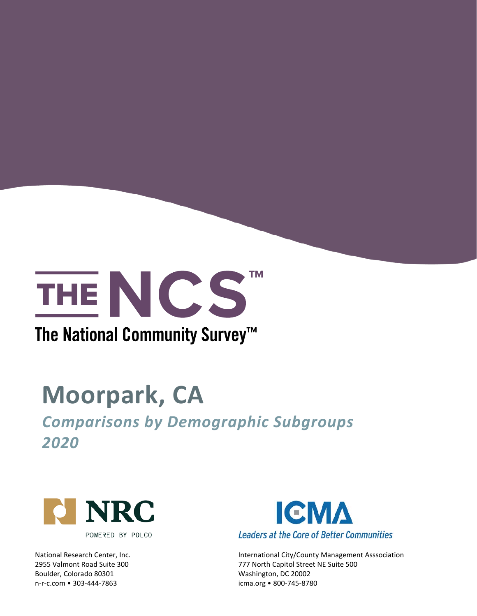

### The National Community Survey™

# **Moorpark, CA**

*Comparisons by Demographic Subgroups 2020*



Boulder, Colorado 80301 Mashington, DC 20002 n-r-c.com • 303-444-7863 icma.org • 800-745-8780



National Research Center, Inc. **International City/County Management Asssociation** 2955 Valmont Road Suite 300 777 North Capitol Street NE Suite 500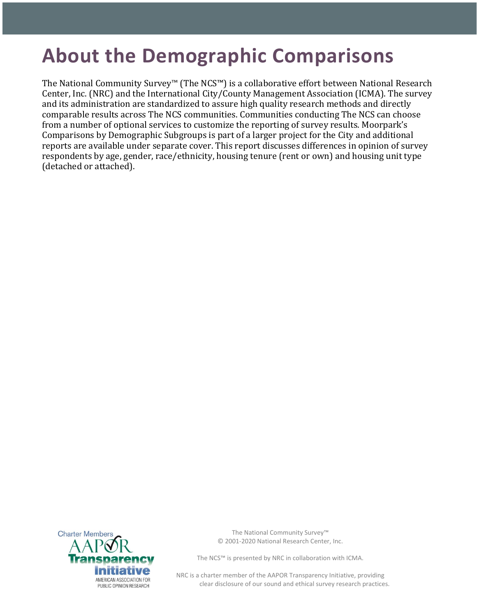## **About the Demographic Comparisons**

The National Community Survey™ (The NCS™) is a collaborative effort between National Research Center, Inc. (NRC) and the International City/County Management Association (ICMA). The survey and its administration are standardized to assure high quality research methods and directly comparable results across The NCS communities. Communities conducting The NCS can choose from a number of optional services to customize the reporting of survey results. Moorpark's Comparisons by Demographic Subgroups is part of a larger project for the City and additional reports are available under separate cover. This report discusses differences in opinion of survey respondents by age, gender, race/ethnicity, housing tenure (rent or own) and housing unit type (detached or attached).



The National Community Survey™ © 2001-2020 National Research Center, Inc.

The NCS™ is presented by NRC in collaboration with ICMA.

NRC is a charter member of the AAPOR Transparency Initiative, providing clear disclosure of our sound and ethical survey research practices.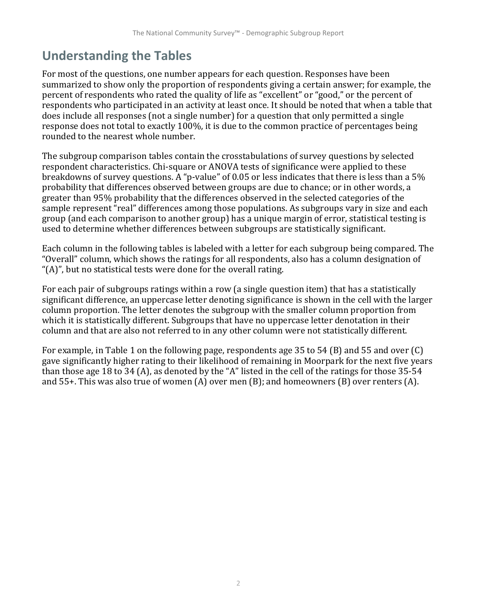### **Understanding the Tables**

For most of the questions, one number appears for each question. Responses have been summarized to show only the proportion of respondents giving a certain answer; for example, the percent of respondents who rated the quality of life as "excellent" or "good," or the percent of respondents who participated in an activity at least once. It should be noted that when a table that does include all responses (not a single number) for a question that only permitted a single response does not total to exactly 100%, it is due to the common practice of percentages being rounded to the nearest whole number.

The subgroup comparison tables contain the crosstabulations of survey questions by selected respondent characteristics. Chi-square or ANOVA tests of significance were applied to these breakdowns of survey questions. A "p-value" of 0.05 or less indicates that there is less than a 5% probability that differences observed between groups are due to chance; or in other words, a greater than 95% probability that the differences observed in the selected categories of the sample represent "real" differences among those populations. As subgroups vary in size and each group (and each comparison to another group) has a unique margin of error, statistical testing is used to determine whether differences between subgroups are statistically significant.

Each column in the following tables is labeled with a letter for each subgroup being compared. The "Overall" column, which shows the ratings for all respondents, also has a column designation of "(A)", but no statistical tests were done for the overall rating.

For each pair of subgroups ratings within a row (a single question item) that has a statistically significant difference, an uppercase letter denoting significance is shown in the cell with the larger column proportion. The letter denotes the subgroup with the smaller column proportion from which it is statistically different. Subgroups that have no uppercase letter denotation in their column and that are also not referred to in any other column were not statistically different.

For example, in Table 1 on the following page, respondents age 35 to 54 (B) and 55 and over (C) gave significantly higher rating to their likelihood of remaining in Moorpark for the next five years than those age 18 to 34 (A), as denoted by the "A" listed in the cell of the ratings for those 35-54 and 55+. This was also true of women (A) over men (B); and homeowners (B) over renters (A).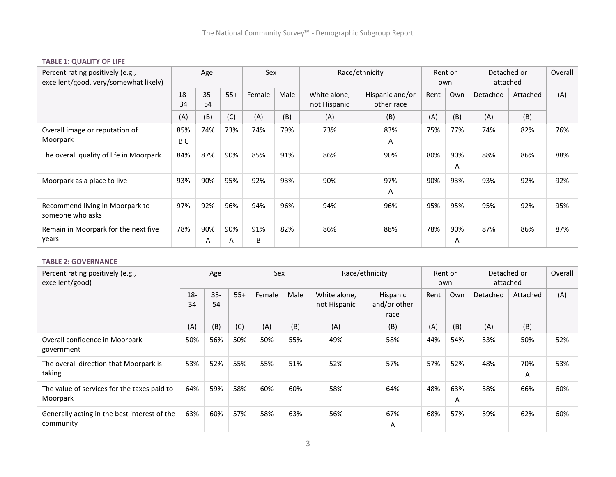#### **TABLE 1: QUALITY OF LIFE**

| Percent rating positively (e.g.,<br>excellent/good, very/somewhat likely) |                       | Age          |          | Sex      |      |                              | Race/ethnicity                |      | Rent or<br>own | Detached or<br>attached |          | Overall |
|---------------------------------------------------------------------------|-----------------------|--------------|----------|----------|------|------------------------------|-------------------------------|------|----------------|-------------------------|----------|---------|
|                                                                           | $18 -$<br>34          | $35 -$<br>54 | $55+$    | Female   | Male | White alone,<br>not Hispanic | Hispanic and/or<br>other race | Rent | Own            | Detached                | Attached | (A)     |
|                                                                           | (A)                   | (B)          | (C)      | (A)      | (B)  | (A)                          | (B)                           | (A)  | (B)            | (A)                     | (B)      |         |
| Overall image or reputation of<br>Moorpark                                | 85%<br>B <sub>C</sub> | 74%          | 73%      | 74%      | 79%  | 73%                          | 83%<br>A                      | 75%  | 77%            | 74%                     | 82%      | 76%     |
| The overall quality of life in Moorpark                                   | 84%                   | 87%          | 90%      | 85%      | 91%  | 86%                          | 90%                           | 80%  | 90%<br>A       | 88%                     | 86%      | 88%     |
| Moorpark as a place to live                                               | 93%                   | 90%          | 95%      | 92%      | 93%  | 90%                          | 97%<br>A                      | 90%  | 93%            | 93%                     | 92%      | 92%     |
| Recommend living in Moorpark to<br>someone who asks                       | 97%                   | 92%          | 96%      | 94%      | 96%  | 94%                          | 96%                           | 95%  | 95%            | 95%                     | 92%      | 95%     |
| Remain in Moorpark for the next five<br>years                             | 78%                   | 90%<br>A     | 90%<br>A | 91%<br>B | 82%  | 86%                          | 88%                           | 78%  | 90%<br>A       | 87%                     | 86%      | 87%     |

#### **TABLE 2: GOVERNANCE**

| Percent rating positively (e.g.,<br>excellent/good)       |              | Age          |       | Sex    |      |                              | Race/ethnicity                   |      | Rent or<br>own | Detached or<br>attached |          | Overall |
|-----------------------------------------------------------|--------------|--------------|-------|--------|------|------------------------------|----------------------------------|------|----------------|-------------------------|----------|---------|
|                                                           | $18 -$<br>34 | $35 -$<br>54 | $55+$ | Female | Male | White alone,<br>not Hispanic | Hispanic<br>and/or other<br>race | Rent | Own            | Detached                | Attached | (A)     |
|                                                           | (A)          | (B)          | (C)   | (A)    | (B)  | (A)                          | (B)                              | (A)  | (B)            | (A)                     | (B)      |         |
| Overall confidence in Moorpark<br>government              | 50%          | 56%          | 50%   | 50%    | 55%  | 49%                          | 58%                              | 44%  | 54%            | 53%                     | 50%      | 52%     |
| The overall direction that Moorpark is<br>taking          | 53%          | 52%          | 55%   | 55%    | 51%  | 52%                          | 57%                              | 57%  | 52%            | 48%                     | 70%<br>A | 53%     |
| The value of services for the taxes paid to<br>Moorpark   | 64%          | 59%          | 58%   | 60%    | 60%  | 58%                          | 64%                              | 48%  | 63%<br>Α       | 58%                     | 66%      | 60%     |
| Generally acting in the best interest of the<br>community | 63%          | 60%          | 57%   | 58%    | 63%  | 56%                          | 67%<br>A                         | 68%  | 57%            | 59%                     | 62%      | 60%     |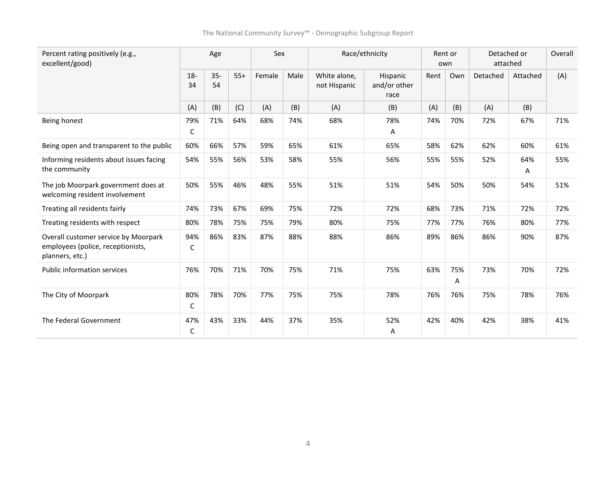| Percent rating positively (e.g.,<br>excellent/good)                                          |              | Age          |       | Sex    |      |                              | Race/ethnicity                   |      | Rent or<br>own | Detached or<br>attached |          | Overall |
|----------------------------------------------------------------------------------------------|--------------|--------------|-------|--------|------|------------------------------|----------------------------------|------|----------------|-------------------------|----------|---------|
|                                                                                              | $18 -$<br>34 | $35 -$<br>54 | $55+$ | Female | Male | White alone,<br>not Hispanic | Hispanic<br>and/or other<br>race | Rent | Own            | Detached                | Attached | (A)     |
|                                                                                              | (A)          | (B)          | (C)   | (A)    | (B)  | (A)                          | (B)                              | (A)  | (B)            | (A)                     | (B)      |         |
| Being honest                                                                                 | 79%<br>C     | 71%          | 64%   | 68%    | 74%  | 68%                          | 78%<br>Α                         | 74%  | 70%            | 72%                     | 67%      | 71%     |
| Being open and transparent to the public                                                     | 60%          | 66%          | 57%   | 59%    | 65%  | 61%                          | 65%                              | 58%  | 62%            | 62%                     | 60%      | 61%     |
| Informing residents about issues facing<br>the community                                     | 54%          | 55%          | 56%   | 53%    | 58%  | 55%                          | 56%                              | 55%  | 55%            | 52%                     | 64%<br>Α | 55%     |
| The job Moorpark government does at<br>welcoming resident involvement                        | 50%          | 55%          | 46%   | 48%    | 55%  | 51%                          | 51%                              | 54%  | 50%            | 50%                     | 54%      | 51%     |
| Treating all residents fairly                                                                | 74%          | 73%          | 67%   | 69%    | 75%  | 72%                          | 72%                              | 68%  | 73%            | 71%                     | 72%      | 72%     |
| Treating residents with respect                                                              | 80%          | 78%          | 75%   | 75%    | 79%  | 80%                          | 75%                              | 77%  | 77%            | 76%                     | 80%      | 77%     |
| Overall customer service by Moorpark<br>employees (police, receptionists,<br>planners, etc.) | 94%<br>С     | 86%          | 83%   | 87%    | 88%  | 88%                          | 86%                              | 89%  | 86%            | 86%                     | 90%      | 87%     |
| <b>Public information services</b>                                                           | 76%          | 70%          | 71%   | 70%    | 75%  | 71%                          | 75%                              | 63%  | 75%<br>Α       | 73%                     | 70%      | 72%     |
| The City of Moorpark                                                                         | 80%<br>C     | 78%          | 70%   | 77%    | 75%  | 75%                          | 78%                              | 76%  | 76%            | 75%                     | 78%      | 76%     |
| The Federal Government                                                                       | 47%<br>C     | 43%          | 33%   | 44%    | 37%  | 35%                          | 52%<br>Α                         | 42%  | 40%            | 42%                     | 38%      | 41%     |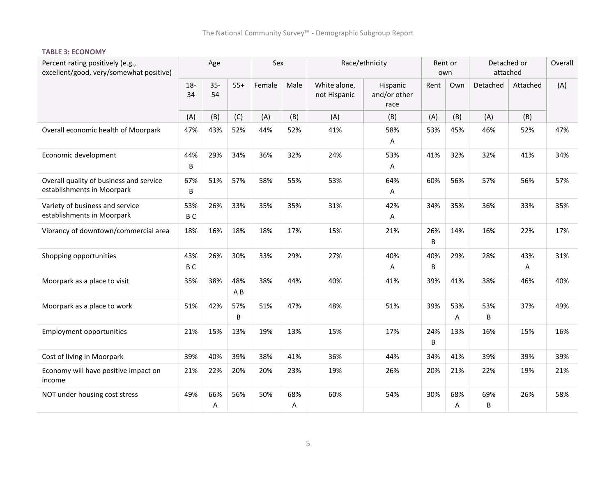#### **TABLE 3: ECONOMY**

| Percent rating positively (e.g.,<br>excellent/good, very/somewhat positive) |                       | Age          |            | Sex    |          |                              | Race/ethnicity                   |          | Rent or<br>own | Detached or<br>attached |          | Overall |
|-----------------------------------------------------------------------------|-----------------------|--------------|------------|--------|----------|------------------------------|----------------------------------|----------|----------------|-------------------------|----------|---------|
|                                                                             | $18-$<br>34           | $35 -$<br>54 | $55+$      | Female | Male     | White alone,<br>not Hispanic | Hispanic<br>and/or other<br>race | Rent     | Own            | Detached                | Attached | (A)     |
|                                                                             | (A)                   | (B)          | (C)        | (A)    | (B)      | (A)                          | (B)                              | (A)      | (B)            | (A)                     | (B)      |         |
| Overall economic health of Moorpark                                         | 47%                   | 43%          | 52%        | 44%    | 52%      | 41%                          | 58%<br>А                         | 53%      | 45%            | 46%                     | 52%      | 47%     |
| Economic development                                                        | 44%<br>B              | 29%          | 34%        | 36%    | 32%      | 24%                          | 53%<br>Α                         | 41%      | 32%            | 32%                     | 41%      | 34%     |
| Overall quality of business and service<br>establishments in Moorpark       | 67%<br>B              | 51%          | 57%        | 58%    | 55%      | 53%                          | 64%<br>Α                         | 60%      | 56%            | 57%                     | 56%      | 57%     |
| Variety of business and service<br>establishments in Moorpark               | 53%<br>B <sub>C</sub> | 26%          | 33%        | 35%    | 35%      | 31%                          | 42%<br>Α                         | 34%      | 35%            | 36%                     | 33%      | 35%     |
| Vibrancy of downtown/commercial area                                        | 18%                   | 16%          | 18%        | 18%    | 17%      | 15%                          | 21%                              | 26%<br>B | 14%            | 16%                     | 22%      | 17%     |
| Shopping opportunities                                                      | 43%<br>B <sub>C</sub> | 26%          | 30%        | 33%    | 29%      | 27%                          | 40%<br>Α                         | 40%<br>B | 29%            | 28%                     | 43%<br>A | 31%     |
| Moorpark as a place to visit                                                | 35%                   | 38%          | 48%<br>A B | 38%    | 44%      | 40%                          | 41%                              | 39%      | 41%            | 38%                     | 46%      | 40%     |
| Moorpark as a place to work                                                 | 51%                   | 42%          | 57%<br>B   | 51%    | 47%      | 48%                          | 51%                              | 39%      | 53%<br>А       | 53%<br>B                | 37%      | 49%     |
| <b>Employment opportunities</b>                                             | 21%                   | 15%          | 13%        | 19%    | 13%      | 15%                          | 17%                              | 24%<br>B | 13%            | 16%                     | 15%      | 16%     |
| Cost of living in Moorpark                                                  | 39%                   | 40%          | 39%        | 38%    | 41%      | 36%                          | 44%                              | 34%      | 41%            | 39%                     | 39%      | 39%     |
| Economy will have positive impact on<br>income                              | 21%                   | 22%          | 20%        | 20%    | 23%      | 19%                          | 26%                              | 20%      | 21%            | 22%                     | 19%      | 21%     |
| NOT under housing cost stress                                               | 49%                   | 66%<br>Α     | 56%        | 50%    | 68%<br>Α | 60%                          | 54%                              | 30%      | 68%<br>Α       | 69%<br>B                | 26%      | 58%     |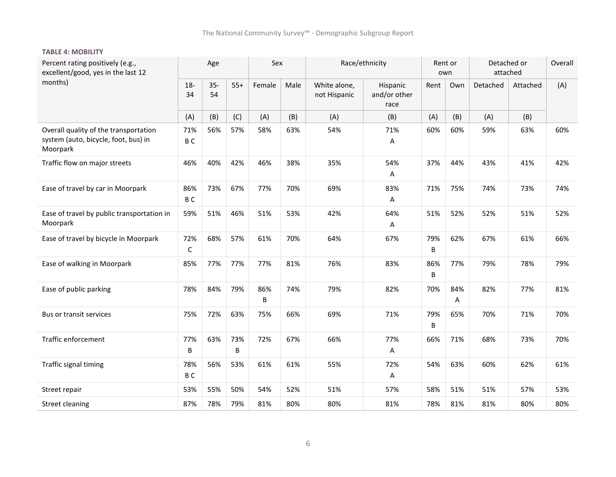#### **TABLE 4: MOBILITY**

| Percent rating positively (e.g.,<br>excellent/good, yes in the last 12                    |                       | Age          |          | Sex      |      |                              | Race/ethnicity                   |          | Rent or<br>own | Detached or<br>attached |          | Overall |
|-------------------------------------------------------------------------------------------|-----------------------|--------------|----------|----------|------|------------------------------|----------------------------------|----------|----------------|-------------------------|----------|---------|
| months)                                                                                   | $18-$<br>34           | $35 -$<br>54 | $55+$    | Female   | Male | White alone,<br>not Hispanic | Hispanic<br>and/or other<br>race | Rent     | Own            | Detached                | Attached | (A)     |
|                                                                                           | (A)                   | (B)          | (C)      | (A)      | (B)  | (A)                          | (B)                              | (A)      | (B)            | (A)                     | (B)      |         |
| Overall quality of the transportation<br>system (auto, bicycle, foot, bus) in<br>Moorpark | 71%<br>B <sub>C</sub> | 56%          | 57%      | 58%      | 63%  | 54%                          | 71%<br>Α                         | 60%      | 60%            | 59%                     | 63%      | 60%     |
| Traffic flow on major streets                                                             | 46%                   | 40%          | 42%      | 46%      | 38%  | 35%                          | 54%<br>Α                         | 37%      | 44%            | 43%                     | 41%      | 42%     |
| Ease of travel by car in Moorpark                                                         | 86%<br>B <sub>C</sub> | 73%          | 67%      | 77%      | 70%  | 69%                          | 83%<br>Α                         | 71%      | 75%            | 74%                     | 73%      | 74%     |
| Ease of travel by public transportation in<br>Moorpark                                    | 59%                   | 51%          | 46%      | 51%      | 53%  | 42%                          | 64%<br>Α                         | 51%      | 52%            | 52%                     | 51%      | 52%     |
| Ease of travel by bicycle in Moorpark                                                     | 72%<br>$\mathsf C$    | 68%          | 57%      | 61%      | 70%  | 64%                          | 67%                              | 79%<br>B | 62%            | 67%                     | 61%      | 66%     |
| Ease of walking in Moorpark                                                               | 85%                   | 77%          | 77%      | 77%      | 81%  | 76%                          | 83%                              | 86%<br>B | 77%            | 79%                     | 78%      | 79%     |
| Ease of public parking                                                                    | 78%                   | 84%          | 79%      | 86%<br>B | 74%  | 79%                          | 82%                              | 70%      | 84%<br>Α       | 82%                     | 77%      | 81%     |
| Bus or transit services                                                                   | 75%                   | 72%          | 63%      | 75%      | 66%  | 69%                          | 71%                              | 79%<br>B | 65%            | 70%                     | 71%      | 70%     |
| Traffic enforcement                                                                       | 77%<br>B              | 63%          | 73%<br>B | 72%      | 67%  | 66%                          | 77%<br>Α                         | 66%      | 71%            | 68%                     | 73%      | 70%     |
| Traffic signal timing                                                                     | 78%<br>B <sub>C</sub> | 56%          | 53%      | 61%      | 61%  | 55%                          | 72%<br>Α                         | 54%      | 63%            | 60%                     | 62%      | 61%     |
| Street repair                                                                             | 53%                   | 55%          | 50%      | 54%      | 52%  | 51%                          | 57%                              | 58%      | 51%            | 51%                     | 57%      | 53%     |
| Street cleaning                                                                           | 87%                   | 78%          | 79%      | 81%      | 80%  | 80%                          | 81%                              | 78%      | 81%            | 81%                     | 80%      | 80%     |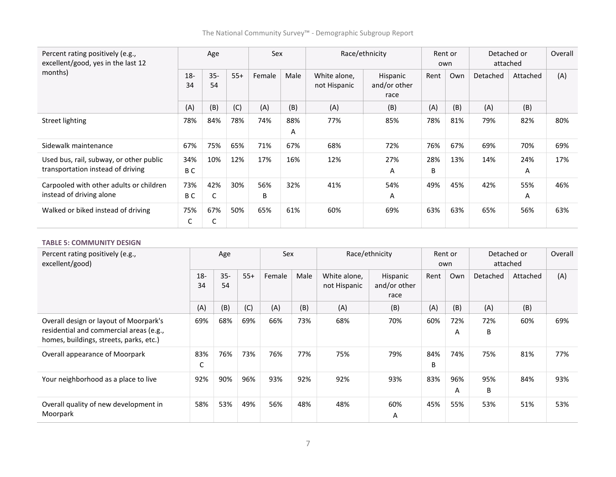| Percent rating positively (e.g.,<br>excellent/good, yes in the last 12       |                       | Age          |       | Sex      |          |                              | Race/ethnicity                   | own      | Rent or | Detached or<br>attached |          | Overall |
|------------------------------------------------------------------------------|-----------------------|--------------|-------|----------|----------|------------------------------|----------------------------------|----------|---------|-------------------------|----------|---------|
| months)                                                                      | $18 -$<br>34          | $35 -$<br>54 | $55+$ | Female   | Male     | White alone,<br>not Hispanic | Hispanic<br>and/or other<br>race | Rent     | Own     | Detached                | Attached | (A)     |
|                                                                              | (A)                   | (B)          | (C)   | (A)      | (B)      | (A)                          | (B)                              | (A)      | (B)     | (A)                     | (B)      |         |
| Street lighting                                                              | 78%                   | 84%          | 78%   | 74%      | 88%<br>A | 77%                          | 85%                              | 78%      | 81%     | 79%                     | 82%      | 80%     |
| Sidewalk maintenance                                                         | 67%                   | 75%          | 65%   | 71%      | 67%      | 68%                          | 72%                              | 76%      | 67%     | 69%                     | 70%      | 69%     |
| Used bus, rail, subway, or other public<br>transportation instead of driving | 34%<br>B <sub>C</sub> | 10%          | 12%   | 17%      | 16%      | 12%                          | 27%<br>A                         | 28%<br>B | 13%     | 14%                     | 24%<br>A | 17%     |
| Carpooled with other adults or children<br>instead of driving alone          | 73%<br>B C            | 42%<br>C     | 30%   | 56%<br>B | 32%      | 41%                          | 54%<br>Α                         | 49%      | 45%     | 42%                     | 55%<br>Α | 46%     |
| Walked or biked instead of driving                                           | 75%<br>С              | 67%<br>C     | 50%   | 65%      | 61%      | 60%                          | 69%                              | 63%      | 63%     | 65%                     | 56%      | 63%     |

#### **TABLE 5: COMMUNITY DESIGN**

| Percent rating positively (e.g.,<br>excellent/good)                                                                          |             | Age          |       | Sex    |      |                              | Race/ethnicity                   |          | Rent or<br>own | Detached or<br>attached |          | Overall |
|------------------------------------------------------------------------------------------------------------------------------|-------------|--------------|-------|--------|------|------------------------------|----------------------------------|----------|----------------|-------------------------|----------|---------|
|                                                                                                                              | $18-$<br>34 | $35 -$<br>54 | $55+$ | Female | Male | White alone,<br>not Hispanic | Hispanic<br>and/or other<br>race | Rent     | Own            | Detached                | Attached | (A)     |
|                                                                                                                              | (A)         | (B)          | (C)   | (A)    | (B)  | (A)                          | (B)                              | (A)      | (B)            | (A)                     | (B)      |         |
| Overall design or layout of Moorpark's<br>residential and commercial areas (e.g.,<br>homes, buildings, streets, parks, etc.) | 69%         | 68%          | 69%   | 66%    | 73%  | 68%                          | 70%                              | 60%      | 72%<br>Α       | 72%<br>B                | 60%      | 69%     |
| Overall appearance of Moorpark                                                                                               | 83%<br>C    | 76%          | 73%   | 76%    | 77%  | 75%                          | 79%                              | 84%<br>B | 74%            | 75%                     | 81%      | 77%     |
| Your neighborhood as a place to live                                                                                         | 92%         | 90%          | 96%   | 93%    | 92%  | 92%                          | 93%                              | 83%      | 96%<br>A       | 95%<br>В                | 84%      | 93%     |
| Overall quality of new development in<br>Moorpark                                                                            | 58%         | 53%          | 49%   | 56%    | 48%  | 48%                          | 60%<br>Α                         | 45%      | 55%            | 53%                     | 51%      | 53%     |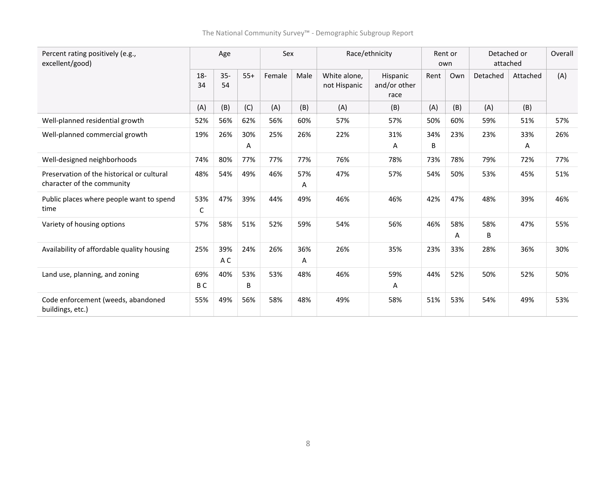| Percent rating positively (e.g.,<br>excellent/good)                      |                       | Age          |          | Sex    |          |                              | Race/ethnicity                   |          | Rent or<br>own | Detached or<br>attached |          | Overall |
|--------------------------------------------------------------------------|-----------------------|--------------|----------|--------|----------|------------------------------|----------------------------------|----------|----------------|-------------------------|----------|---------|
|                                                                          | $18 -$<br>34          | $35 -$<br>54 | $55+$    | Female | Male     | White alone.<br>not Hispanic | Hispanic<br>and/or other<br>race | Rent     | Own            | Detached                | Attached | (A)     |
|                                                                          | (A)                   | (B)          | (C)      | (A)    | (B)      | (A)                          | (B)                              | (A)      | (B)            | (A)                     | (B)      |         |
| Well-planned residential growth                                          | 52%                   | 56%          | 62%      | 56%    | 60%      | 57%                          | 57%                              | 50%      | 60%            | 59%                     | 51%      | 57%     |
| Well-planned commercial growth                                           | 19%                   | 26%          | 30%<br>A | 25%    | 26%      | 22%                          | 31%<br>Α                         | 34%<br>B | 23%            | 23%                     | 33%<br>A | 26%     |
| Well-designed neighborhoods                                              | 74%                   | 80%          | 77%      | 77%    | 77%      | 76%                          | 78%                              | 73%      | 78%            | 79%                     | 72%      | 77%     |
| Preservation of the historical or cultural<br>character of the community | 48%                   | 54%          | 49%      | 46%    | 57%<br>Α | 47%                          | 57%                              | 54%      | 50%            | 53%                     | 45%      | 51%     |
| Public places where people want to spend<br>time                         | 53%<br>C              | 47%          | 39%      | 44%    | 49%      | 46%                          | 46%                              | 42%      | 47%            | 48%                     | 39%      | 46%     |
| Variety of housing options                                               | 57%                   | 58%          | 51%      | 52%    | 59%      | 54%                          | 56%                              | 46%      | 58%<br>Α       | 58%<br>B                | 47%      | 55%     |
| Availability of affordable quality housing                               | 25%                   | 39%<br>A C   | 24%      | 26%    | 36%<br>A | 26%                          | 35%                              | 23%      | 33%            | 28%                     | 36%      | 30%     |
| Land use, planning, and zoning                                           | 69%<br>B <sub>C</sub> | 40%          | 53%<br>B | 53%    | 48%      | 46%                          | 59%<br>Α                         | 44%      | 52%            | 50%                     | 52%      | 50%     |
| Code enforcement (weeds, abandoned<br>buildings, etc.)                   | 55%                   | 49%          | 56%      | 58%    | 48%      | 49%                          | 58%                              | 51%      | 53%            | 54%                     | 49%      | 53%     |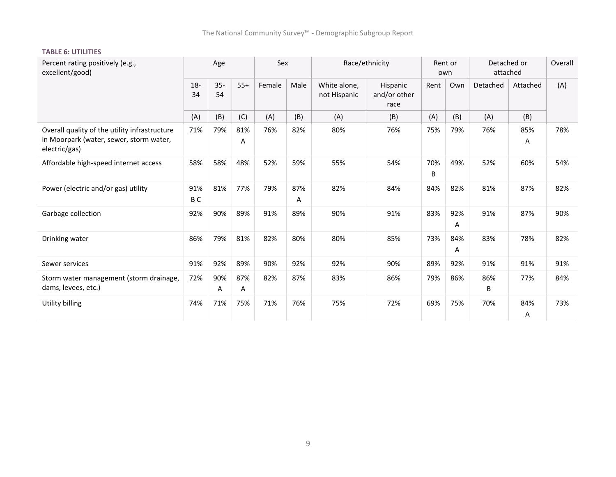| Percent rating positively (e.g.,<br>excellent/good)                                                       |                       | Age          |          | Sex    |          |                              | Race/ethnicity                   |          | Rent or<br>own |          | Detached or<br>attached | Overall |
|-----------------------------------------------------------------------------------------------------------|-----------------------|--------------|----------|--------|----------|------------------------------|----------------------------------|----------|----------------|----------|-------------------------|---------|
|                                                                                                           | $18 -$<br>34          | $35 -$<br>54 | $55+$    | Female | Male     | White alone.<br>not Hispanic | Hispanic<br>and/or other<br>race | Rent     | Own            | Detached | Attached                | (A)     |
|                                                                                                           | (A)                   | (B)          | (C)      | (A)    | (B)      | (A)                          | (B)                              | (A)      | (B)            | (A)      | (B)                     |         |
| Overall quality of the utility infrastructure<br>in Moorpark (water, sewer, storm water,<br>electric/gas) | 71%                   | 79%          | 81%<br>Α | 76%    | 82%      | 80%                          | 76%                              | 75%      | 79%            | 76%      | 85%<br>Α                | 78%     |
| Affordable high-speed internet access                                                                     | 58%                   | 58%          | 48%      | 52%    | 59%      | 55%                          | 54%                              | 70%<br>B | 49%            | 52%      | 60%                     | 54%     |
| Power (electric and/or gas) utility                                                                       | 91%<br>B <sub>C</sub> | 81%          | 77%      | 79%    | 87%<br>Α | 82%                          | 84%                              | 84%      | 82%            | 81%      | 87%                     | 82%     |
| Garbage collection                                                                                        | 92%                   | 90%          | 89%      | 91%    | 89%      | 90%                          | 91%                              | 83%      | 92%<br>Α       | 91%      | 87%                     | 90%     |
| Drinking water                                                                                            | 86%                   | 79%          | 81%      | 82%    | 80%      | 80%                          | 85%                              | 73%      | 84%<br>Α       | 83%      | 78%                     | 82%     |
| Sewer services                                                                                            | 91%                   | 92%          | 89%      | 90%    | 92%      | 92%                          | 90%                              | 89%      | 92%            | 91%      | 91%                     | 91%     |
| Storm water management (storm drainage,<br>dams, levees, etc.)                                            | 72%                   | 90%<br>Α     | 87%<br>Α | 82%    | 87%      | 83%                          | 86%                              | 79%      | 86%            | 86%<br>B | 77%                     | 84%     |
| Utility billing                                                                                           | 74%                   | 71%          | 75%      | 71%    | 76%      | 75%                          | 72%                              | 69%      | 75%            | 70%      | 84%<br>Α                | 73%     |

#### **TABLE 6: UTILITIES**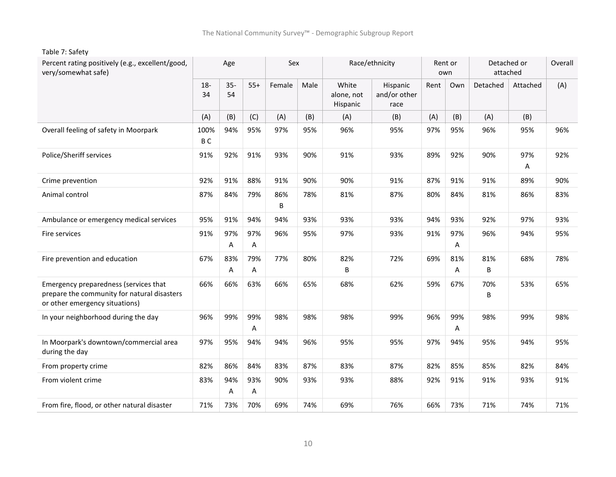| Percent rating positively (e.g., excellent/good,<br>very/somewhat safe)                                                |                        | Age          |          | Sex      |      |                                 | Race/ethnicity                   |      | Rent or<br>own | attached | Detached or | Overall |
|------------------------------------------------------------------------------------------------------------------------|------------------------|--------------|----------|----------|------|---------------------------------|----------------------------------|------|----------------|----------|-------------|---------|
|                                                                                                                        | $18-$<br>34            | $35 -$<br>54 | $55+$    | Female   | Male | White<br>alone, not<br>Hispanic | Hispanic<br>and/or other<br>race | Rent | Own            | Detached | Attached    | (A)     |
|                                                                                                                        | (A)                    | (B)          | (C)      | (A)      | (B)  | (A)                             | (B)                              | (A)  | (B)            | (A)      | (B)         |         |
| Overall feeling of safety in Moorpark                                                                                  | 100%<br>B <sub>C</sub> | 94%          | 95%      | 97%      | 95%  | 96%                             | 95%                              | 97%  | 95%            | 96%      | 95%         | 96%     |
| Police/Sheriff services                                                                                                | 91%                    | 92%          | 91%      | 93%      | 90%  | 91%                             | 93%                              | 89%  | 92%            | 90%      | 97%<br>Α    | 92%     |
| Crime prevention                                                                                                       | 92%                    | 91%          | 88%      | 91%      | 90%  | 90%                             | 91%                              | 87%  | 91%            | 91%      | 89%         | 90%     |
| Animal control                                                                                                         | 87%                    | 84%          | 79%      | 86%<br>B | 78%  | 81%                             | 87%                              | 80%  | 84%            | 81%      | 86%         | 83%     |
| Ambulance or emergency medical services                                                                                | 95%                    | 91%          | 94%      | 94%      | 93%  | 93%                             | 93%                              | 94%  | 93%            | 92%      | 97%         | 93%     |
| Fire services                                                                                                          | 91%                    | 97%<br>Α     | 97%<br>Α | 96%      | 95%  | 97%                             | 93%                              | 91%  | 97%<br>Α       | 96%      | 94%         | 95%     |
| Fire prevention and education                                                                                          | 67%                    | 83%<br>A     | 79%<br>Α | 77%      | 80%  | 82%<br>B                        | 72%                              | 69%  | 81%<br>A       | 81%<br>B | 68%         | 78%     |
| Emergency preparedness (services that<br>prepare the community for natural disasters<br>or other emergency situations) | 66%                    | 66%          | 63%      | 66%      | 65%  | 68%                             | 62%                              | 59%  | 67%            | 70%<br>B | 53%         | 65%     |
| In your neighborhood during the day                                                                                    | 96%                    | 99%          | 99%<br>Α | 98%      | 98%  | 98%                             | 99%                              | 96%  | 99%<br>A       | 98%      | 99%         | 98%     |
| In Moorpark's downtown/commercial area<br>during the day                                                               | 97%                    | 95%          | 94%      | 94%      | 96%  | 95%                             | 95%                              | 97%  | 94%            | 95%      | 94%         | 95%     |
| From property crime                                                                                                    | 82%                    | 86%          | 84%      | 83%      | 87%  | 83%                             | 87%                              | 82%  | 85%            | 85%      | 82%         | 84%     |
| From violent crime                                                                                                     | 83%                    | 94%<br>Α     | 93%<br>Α | 90%      | 93%  | 93%                             | 88%                              | 92%  | 91%            | 91%      | 93%         | 91%     |
| From fire, flood, or other natural disaster                                                                            | 71%                    | 73%          | 70%      | 69%      | 74%  | 69%                             | 76%                              | 66%  | 73%            | 71%      | 74%         | 71%     |

Table 7: Safety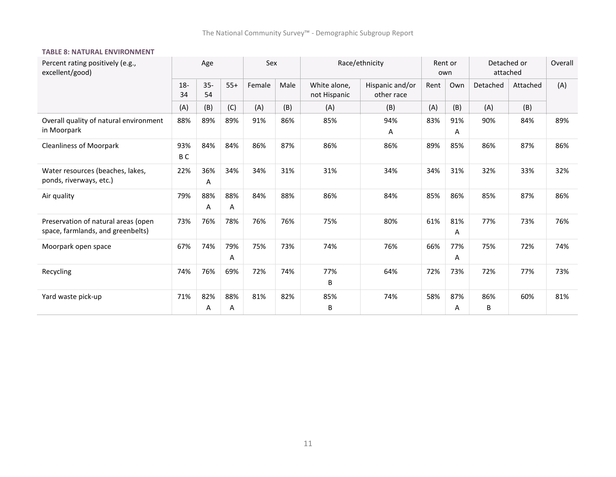#### **TABLE 8: NATURAL ENVIRONMENT**

| Percent rating positively (e.g.,<br>excellent/good)                      |              | Age          |          | Sex    |      |                              | Race/ethnicity                |      | Rent or<br>own | Detached or<br>attached |          | Overall |
|--------------------------------------------------------------------------|--------------|--------------|----------|--------|------|------------------------------|-------------------------------|------|----------------|-------------------------|----------|---------|
|                                                                          | $18 -$<br>34 | $35 -$<br>54 | $55+$    | Female | Male | White alone.<br>not Hispanic | Hispanic and/or<br>other race | Rent | Own            | Detached                | Attached | (A)     |
|                                                                          | (A)          | (B)          | (C)      | (A)    | (B)  | (A)                          | (B)                           | (A)  | (B)            | (A)                     | (B)      |         |
| Overall quality of natural environment<br>in Moorpark                    | 88%          | 89%          | 89%      | 91%    | 86%  | 85%                          | 94%<br>A                      | 83%  | 91%<br>Α       | 90%                     | 84%      | 89%     |
| <b>Cleanliness of Moorpark</b>                                           | 93%<br>B C   | 84%          | 84%      | 86%    | 87%  | 86%                          | 86%                           | 89%  | 85%            | 86%                     | 87%      | 86%     |
| Water resources (beaches, lakes,<br>ponds, riverways, etc.)              | 22%          | 36%<br>Α     | 34%      | 34%    | 31%  | 31%                          | 34%                           | 34%  | 31%            | 32%                     | 33%      | 32%     |
| Air quality                                                              | 79%          | 88%<br>A     | 88%<br>Α | 84%    | 88%  | 86%                          | 84%                           | 85%  | 86%            | 85%                     | 87%      | 86%     |
| Preservation of natural areas (open<br>space, farmlands, and greenbelts) | 73%          | 76%          | 78%      | 76%    | 76%  | 75%                          | 80%                           | 61%  | 81%<br>Α       | 77%                     | 73%      | 76%     |
| Moorpark open space                                                      | 67%          | 74%          | 79%<br>A | 75%    | 73%  | 74%                          | 76%                           | 66%  | 77%<br>A       | 75%                     | 72%      | 74%     |
| Recycling                                                                | 74%          | 76%          | 69%      | 72%    | 74%  | 77%<br>В                     | 64%                           | 72%  | 73%            | 72%                     | 77%      | 73%     |
| Yard waste pick-up                                                       | 71%          | 82%<br>Α     | 88%<br>Α | 81%    | 82%  | 85%<br>B                     | 74%                           | 58%  | 87%<br>Α       | 86%<br>B                | 60%      | 81%     |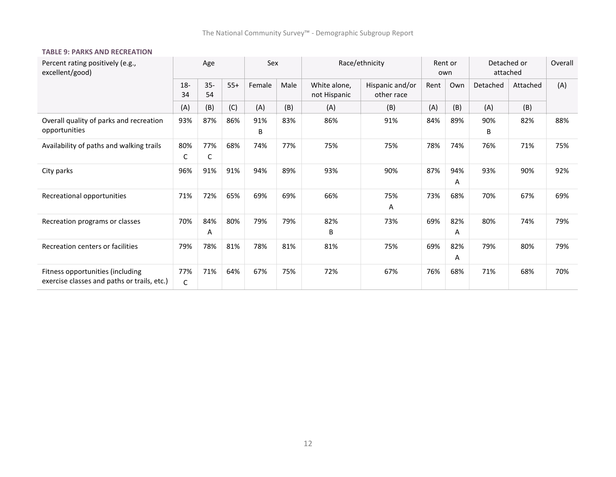and a

#### **TABLE 9: PARKS AND RECREATION**

| Percent rating positively (e.g.,<br>excellent/good)                             |              | Age          |       | Sex      |      |                              | Race/ethnicity                | own  | Rent or  | Detached or<br>attached |          | Overall |
|---------------------------------------------------------------------------------|--------------|--------------|-------|----------|------|------------------------------|-------------------------------|------|----------|-------------------------|----------|---------|
|                                                                                 | $18 -$<br>34 | $35 -$<br>54 | $55+$ | Female   | Male | White alone,<br>not Hispanic | Hispanic and/or<br>other race | Rent | Own      | Detached                | Attached | (A)     |
|                                                                                 | (A)          | (B)          | (C)   | (A)      | (B)  | (A)                          | (B)                           | (A)  | (B)      | (A)                     | (B)      |         |
| Overall quality of parks and recreation<br>opportunities                        | 93%          | 87%          | 86%   | 91%<br>B | 83%  | 86%                          | 91%                           | 84%  | 89%      | 90%<br>В                | 82%      | 88%     |
| Availability of paths and walking trails                                        | 80%<br>C     | 77%<br>C     | 68%   | 74%      | 77%  | 75%                          | 75%                           | 78%  | 74%      | 76%                     | 71%      | 75%     |
| City parks                                                                      | 96%          | 91%          | 91%   | 94%      | 89%  | 93%                          | 90%                           | 87%  | 94%<br>A | 93%                     | 90%      | 92%     |
| Recreational opportunities                                                      | 71%          | 72%          | 65%   | 69%      | 69%  | 66%                          | 75%<br>Α                      | 73%  | 68%      | 70%                     | 67%      | 69%     |
| Recreation programs or classes                                                  | 70%          | 84%<br>Α     | 80%   | 79%      | 79%  | 82%<br>B                     | 73%                           | 69%  | 82%<br>A | 80%                     | 74%      | 79%     |
| Recreation centers or facilities                                                | 79%          | 78%          | 81%   | 78%      | 81%  | 81%                          | 75%                           | 69%  | 82%<br>A | 79%                     | 80%      | 79%     |
| Fitness opportunities (including<br>exercise classes and paths or trails, etc.) | 77%<br>C     | 71%          | 64%   | 67%      | 75%  | 72%                          | 67%                           | 76%  | 68%      | 71%                     | 68%      | 70%     |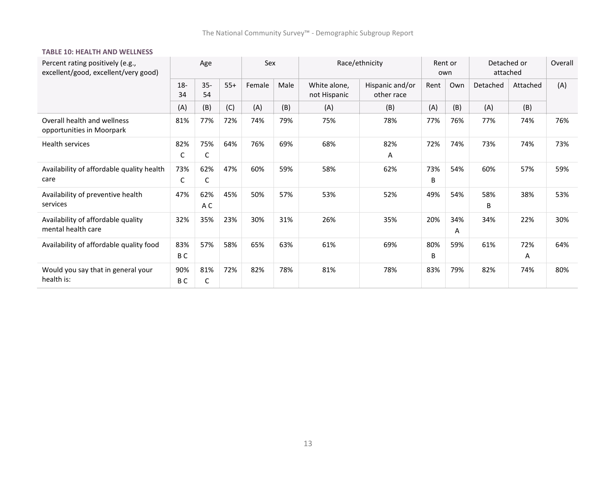#### **TABLE 10: HEALTH AND WELLNESS**

| Percent rating positively (e.g.,<br>excellent/good, excellent/very good) |              | Age          |       | Sex    |      |                              | Race/ethnicity                | Rent or<br>own |          | Detached or<br>attached |          | Overall |
|--------------------------------------------------------------------------|--------------|--------------|-------|--------|------|------------------------------|-------------------------------|----------------|----------|-------------------------|----------|---------|
|                                                                          | $18 -$<br>34 | $35 -$<br>54 | $55+$ | Female | Male | White alone,<br>not Hispanic | Hispanic and/or<br>other race | Rent           | Own      | Detached                | Attached | (A)     |
|                                                                          | (A)          | (B)          | (C)   | (A)    | (B)  | (A)                          | (B)                           | (A)            | (B)      | (A)                     | (B)      |         |
| Overall health and wellness<br>opportunities in Moorpark                 | 81%          | 77%          | 72%   | 74%    | 79%  | 75%                          | 78%                           | 77%            | 76%      | 77%                     | 74%      | 76%     |
| Health services                                                          | 82%<br>C     | 75%<br>С     | 64%   | 76%    | 69%  | 68%                          | 82%<br>Α                      | 72%            | 74%      | 73%                     | 74%      | 73%     |
| Availability of affordable quality health<br>care                        | 73%<br>С     | 62%<br>С     | 47%   | 60%    | 59%  | 58%                          | 62%                           | 73%<br>B       | 54%      | 60%                     | 57%      | 59%     |
| Availability of preventive health<br>services                            | 47%          | 62%<br>A C   | 45%   | 50%    | 57%  | 53%                          | 52%                           | 49%            | 54%      | 58%<br>B                | 38%      | 53%     |
| Availability of affordable quality<br>mental health care                 | 32%          | 35%          | 23%   | 30%    | 31%  | 26%                          | 35%                           | 20%            | 34%<br>A | 34%                     | 22%      | 30%     |
| Availability of affordable quality food                                  | 83%<br>B C   | 57%          | 58%   | 65%    | 63%  | 61%                          | 69%                           | 80%<br>B       | 59%      | 61%                     | 72%<br>Α | 64%     |
| Would you say that in general your<br>health is:                         | 90%<br>B C   | 81%<br>C     | 72%   | 82%    | 78%  | 81%                          | 78%                           | 83%            | 79%      | 82%                     | 74%      | 80%     |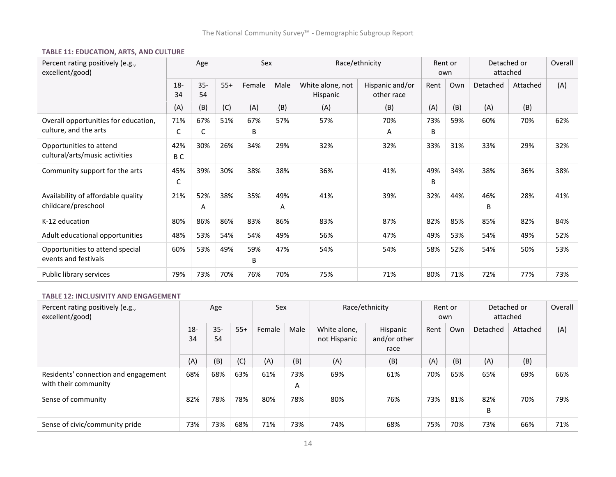#### **TABLE 11: EDUCATION, ARTS, AND CULTURE**

| Percent rating positively (e.g.,<br>excellent/good)           |              | Age          |       | Sex      |          |                                     | Race/ethnicity                | Rent or<br>own |     | Detached or<br>attached |          | Overall |
|---------------------------------------------------------------|--------------|--------------|-------|----------|----------|-------------------------------------|-------------------------------|----------------|-----|-------------------------|----------|---------|
|                                                               | $18 -$<br>34 | $35 -$<br>54 | $55+$ | Female   | Male     | White alone, not<br><b>Hispanic</b> | Hispanic and/or<br>other race | Rent           | Own | Detached                | Attached | (A)     |
|                                                               | (A)          | (B)          | (C)   | (A)      | (B)      | (A)                                 | (B)                           | (A)            | (B) | (A)                     | (B)      |         |
| Overall opportunities for education,<br>culture, and the arts | 71%<br>С     | 67%<br>С     | 51%   | 67%<br>B | 57%      | 57%                                 | 70%<br>A                      | 73%<br>B       | 59% | 60%                     | 70%      | 62%     |
| Opportunities to attend<br>cultural/arts/music activities     | 42%<br>B C   | 30%          | 26%   | 34%      | 29%      | 32%                                 | 32%                           | 33%            | 31% | 33%                     | 29%      | 32%     |
| Community support for the arts                                | 45%<br>C     | 39%          | 30%   | 38%      | 38%      | 36%                                 | 41%                           | 49%<br>B       | 34% | 38%                     | 36%      | 38%     |
| Availability of affordable quality<br>childcare/preschool     | 21%          | 52%<br>A     | 38%   | 35%      | 49%<br>Α | 41%                                 | 39%                           | 32%            | 44% | 46%<br>B                | 28%      | 41%     |
| K-12 education                                                | 80%          | 86%          | 86%   | 83%      | 86%      | 83%                                 | 87%                           | 82%            | 85% | 85%                     | 82%      | 84%     |
| Adult educational opportunities                               | 48%          | 53%          | 54%   | 54%      | 49%      | 56%                                 | 47%                           | 49%            | 53% | 54%                     | 49%      | 52%     |
| Opportunities to attend special<br>events and festivals       | 60%          | 53%          | 49%   | 59%<br>B | 47%      | 54%                                 | 54%                           | 58%            | 52% | 54%                     | 50%      | 53%     |
| Public library services                                       | 79%          | 73%          | 70%   | 76%      | 70%      | 75%                                 | 71%                           | 80%            | 71% | 72%                     | 77%      | 73%     |

#### **TABLE 12: INCLUSIVITY AND ENGAGEMENT**

| Percent rating positively (e.g.,<br>excellent/good)          | Age          |              |       | Sex    |          | Race/ethnicity               | Rent or<br>own                   |      | Detached or<br>attached |          | Overall  |     |
|--------------------------------------------------------------|--------------|--------------|-------|--------|----------|------------------------------|----------------------------------|------|-------------------------|----------|----------|-----|
|                                                              | $18 -$<br>34 | $35 -$<br>54 | $55+$ | Female | Male     | White alone.<br>not Hispanic | Hispanic<br>and/or other<br>race | Rent | Own                     | Detached | Attached | (A) |
|                                                              | (A)          | (B)          | (C)   | (A)    | (B)      | (A)                          | (B)                              | (A)  | (B)                     | (A)      | (B)      |     |
| Residents' connection and engagement<br>with their community | 68%          | 68%          | 63%   | 61%    | 73%<br>A | 69%                          | 61%                              | 70%  | 65%                     | 65%      | 69%      | 66% |
| Sense of community                                           | 82%          | 78%          | 78%   | 80%    | 78%      | 80%                          | 76%                              | 73%  | 81%                     | 82%<br>B | 70%      | 79% |
| Sense of civic/community pride                               | 73%          | 73%          | 68%   | 71%    | 73%      | 74%                          | 68%                              | 75%  | 70%                     | 73%      | 66%      | 71% |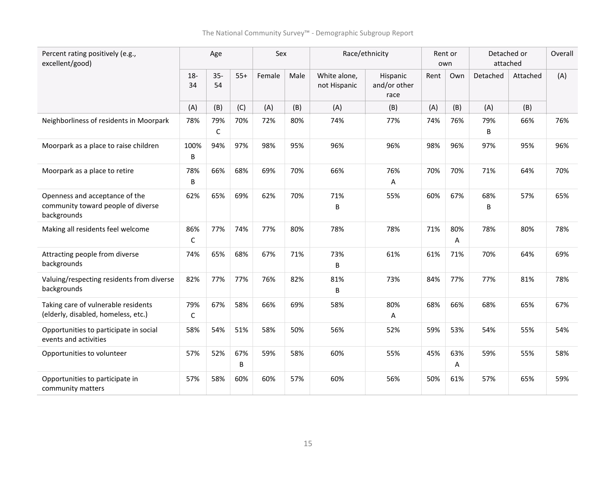| Percent rating positively (e.g.,<br>excellent/good)                                 | Age                 |              | Sex      |        |      | Race/ethnicity               | Rent or<br>own                   |      | Detached or<br>attached |          | Overall  |     |
|-------------------------------------------------------------------------------------|---------------------|--------------|----------|--------|------|------------------------------|----------------------------------|------|-------------------------|----------|----------|-----|
|                                                                                     | $18 -$<br>34        | $35 -$<br>54 | $55+$    | Female | Male | White alone,<br>not Hispanic | Hispanic<br>and/or other<br>race | Rent | Own                     | Detached | Attached | (A) |
|                                                                                     | (A)                 | (B)          | (C)      | (A)    | (B)  | (A)                          | (B)                              | (A)  | (B)                     | (A)      | (B)      |     |
| Neighborliness of residents in Moorpark                                             | 78%                 | 79%<br>C     | 70%      | 72%    | 80%  | 74%                          | 77%                              | 74%  | 76%                     | 79%<br>B | 66%      | 76% |
| Moorpark as a place to raise children                                               | 100%<br>B           | 94%          | 97%      | 98%    | 95%  | 96%                          | 96%                              | 98%  | 96%                     | 97%      | 95%      | 96% |
| Moorpark as a place to retire                                                       | 78%<br>B            | 66%          | 68%      | 69%    | 70%  | 66%                          | 76%<br>Α                         | 70%  | 70%                     | 71%      | 64%      | 70% |
| Openness and acceptance of the<br>community toward people of diverse<br>backgrounds | 62%                 | 65%          | 69%      | 62%    | 70%  | 71%<br>B                     | 55%                              | 60%  | 67%                     | 68%<br>B | 57%      | 65% |
| Making all residents feel welcome                                                   | 86%<br>$\mathsf{C}$ | 77%          | 74%      | 77%    | 80%  | 78%                          | 78%                              | 71%  | 80%<br>А                | 78%      | 80%      | 78% |
| Attracting people from diverse<br>backgrounds                                       | 74%                 | 65%          | 68%      | 67%    | 71%  | 73%<br>B                     | 61%                              | 61%  | 71%                     | 70%      | 64%      | 69% |
| Valuing/respecting residents from diverse<br>backgrounds                            | 82%                 | 77%          | 77%      | 76%    | 82%  | 81%<br>B                     | 73%                              | 84%  | 77%                     | 77%      | 81%      | 78% |
| Taking care of vulnerable residents<br>(elderly, disabled, homeless, etc.)          | 79%<br>$\mathsf{C}$ | 67%          | 58%      | 66%    | 69%  | 58%                          | 80%<br>A                         | 68%  | 66%                     | 68%      | 65%      | 67% |
| Opportunities to participate in social<br>events and activities                     | 58%                 | 54%          | 51%      | 58%    | 50%  | 56%                          | 52%                              | 59%  | 53%                     | 54%      | 55%      | 54% |
| Opportunities to volunteer                                                          | 57%                 | 52%          | 67%<br>B | 59%    | 58%  | 60%                          | 55%                              | 45%  | 63%<br>A                | 59%      | 55%      | 58% |
| Opportunities to participate in<br>community matters                                | 57%                 | 58%          | 60%      | 60%    | 57%  | 60%                          | 56%                              | 50%  | 61%                     | 57%      | 65%      | 59% |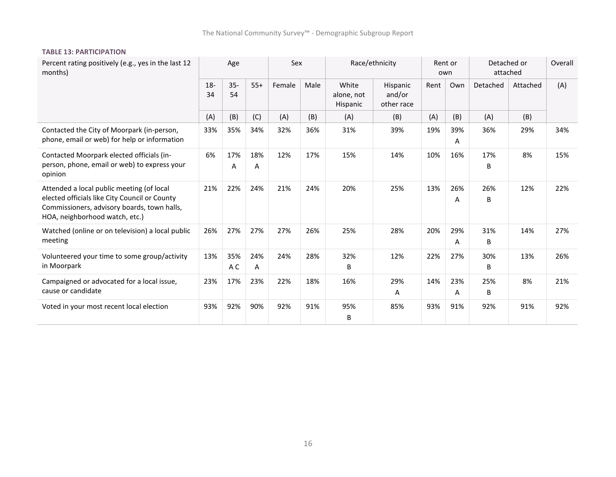#### **TABLE 13: PARTICIPATION**

| Percent rating positively (e.g., yes in the last 12<br>months)                                                                                                              | Age          |              |          | Sex    |      | Race/ethnicity                         |                                  | Rent or<br>own |          | Detached or<br>attached |          | Overall |
|-----------------------------------------------------------------------------------------------------------------------------------------------------------------------------|--------------|--------------|----------|--------|------|----------------------------------------|----------------------------------|----------------|----------|-------------------------|----------|---------|
|                                                                                                                                                                             | $18 -$<br>34 | $35 -$<br>54 | $55+$    | Female | Male | White<br>alone, not<br><b>Hispanic</b> | Hispanic<br>and/or<br>other race | Rent           | Own      | Detached                | Attached | (A)     |
|                                                                                                                                                                             | (A)          | (B)          | (C)      | (A)    | (B)  | (A)                                    | (B)                              | (A)            | (B)      | (A)                     | (B)      |         |
| Contacted the City of Moorpark (in-person,<br>phone, email or web) for help or information                                                                                  | 33%          | 35%          | 34%      | 32%    | 36%  | 31%                                    | 39%                              | 19%            | 39%<br>Α | 36%                     | 29%      | 34%     |
| Contacted Moorpark elected officials (in-<br>person, phone, email or web) to express your<br>opinion                                                                        | 6%           | 17%<br>A     | 18%<br>Α | 12%    | 17%  | 15%                                    | 14%                              | 10%            | 16%      | 17%<br>B                | 8%       | 15%     |
| Attended a local public meeting (of local<br>elected officials like City Council or County<br>Commissioners, advisory boards, town halls,<br>HOA, neighborhood watch, etc.) | 21%          | 22%          | 24%      | 21%    | 24%  | 20%                                    | 25%                              | 13%            | 26%<br>Α | 26%<br>B                | 12%      | 22%     |
| Watched (online or on television) a local public<br>meeting                                                                                                                 | 26%          | 27%          | 27%      | 27%    | 26%  | 25%                                    | 28%                              | 20%            | 29%<br>A | 31%<br>B                | 14%      | 27%     |
| Volunteered your time to some group/activity<br>in Moorpark                                                                                                                 | 13%          | 35%<br>A C   | 24%<br>Α | 24%    | 28%  | 32%<br>B                               | 12%                              | 22%            | 27%      | 30%<br>B                | 13%      | 26%     |
| Campaigned or advocated for a local issue,<br>cause or candidate                                                                                                            | 23%          | 17%          | 23%      | 22%    | 18%  | 16%                                    | 29%<br>A                         | 14%            | 23%<br>A | 25%<br>B                | 8%       | 21%     |
| Voted in your most recent local election                                                                                                                                    | 93%          | 92%          | 90%      | 92%    | 91%  | 95%<br>B                               | 85%                              | 93%            | 91%      | 92%                     | 91%      | 92%     |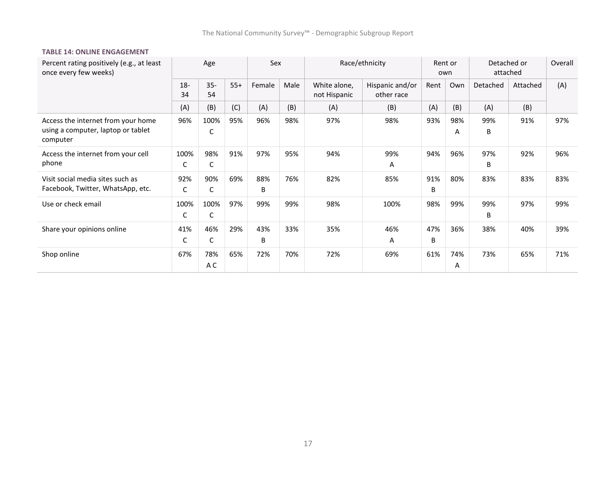$\overline{\phantom{a}}$ 

#### **TABLE 14: ONLINE ENGAGEMENT**

| Percent rating positively (e.g., at least<br>once every few weeks)                   | Age          |              |       | Sex      |      | Race/ethnicity               | Rent or<br>own                |          | Detached or<br>attached |          | Overall  |     |
|--------------------------------------------------------------------------------------|--------------|--------------|-------|----------|------|------------------------------|-------------------------------|----------|-------------------------|----------|----------|-----|
|                                                                                      | $18 -$<br>34 | $35 -$<br>54 | $55+$ | Female   | Male | White alone,<br>not Hispanic | Hispanic and/or<br>other race | Rent     | Own                     | Detached | Attached | (A) |
|                                                                                      | (A)          | (B)          | (C)   | (A)      | (B)  | (A)                          | (B)                           | (A)      | (B)                     | (A)      | (B)      |     |
| Access the internet from your home<br>using a computer, laptop or tablet<br>computer | 96%          | 100%<br>С    | 95%   | 96%      | 98%  | 97%                          | 98%                           | 93%      | 98%<br>Α                | 99%<br>B | 91%      | 97% |
| Access the internet from your cell<br>phone                                          | 100%<br>C    | 98%<br>C     | 91%   | 97%      | 95%  | 94%                          | 99%<br>Α                      | 94%      | 96%                     | 97%<br>B | 92%      | 96% |
| Visit social media sites such as<br>Facebook, Twitter, WhatsApp, etc.                | 92%<br>C     | 90%<br>C     | 69%   | 88%<br>B | 76%  | 82%                          | 85%                           | 91%<br>B | 80%                     | 83%      | 83%      | 83% |
| Use or check email                                                                   | 100%<br>C    | 100%<br>C    | 97%   | 99%      | 99%  | 98%                          | 100%                          | 98%      | 99%                     | 99%<br>B | 97%      | 99% |
| Share your opinions online                                                           | 41%<br>С     | 46%<br>С     | 29%   | 43%<br>B | 33%  | 35%                          | 46%<br>Α                      | 47%<br>B | 36%                     | 38%      | 40%      | 39% |
| Shop online                                                                          | 67%          | 78%<br>A C   | 65%   | 72%      | 70%  | 72%                          | 69%                           | 61%      | 74%<br>A                | 73%      | 65%      | 71% |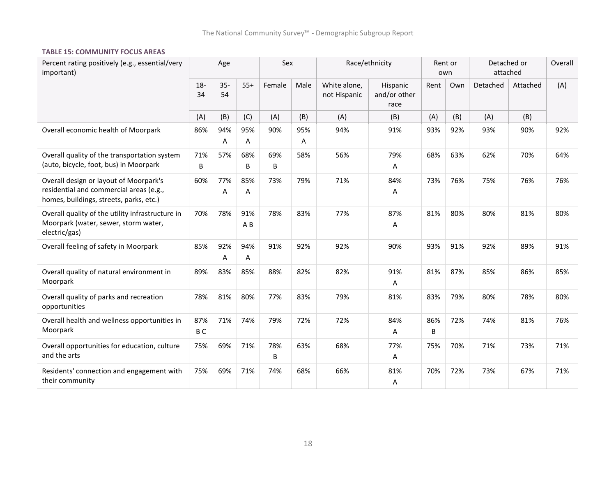#### **TABLE 15: COMMUNITY FOCUS AREAS**

| Percent rating positively (e.g., essential/very<br>important)                                                                | Age                   |              | Sex        |          | Race/ethnicity |                              | Rent or<br>own                   |          | Detached or<br>attached |          | Overall  |     |
|------------------------------------------------------------------------------------------------------------------------------|-----------------------|--------------|------------|----------|----------------|------------------------------|----------------------------------|----------|-------------------------|----------|----------|-----|
|                                                                                                                              | $18-$<br>34           | $35 -$<br>54 | $55+$      | Female   | Male           | White alone,<br>not Hispanic | Hispanic<br>and/or other<br>race | Rent     | Own                     | Detached | Attached | (A) |
|                                                                                                                              | (A)                   | (B)          | (C)        | (A)      | (B)            | (A)                          | (B)                              | (A)      | (B)                     | (A)      | (B)      |     |
| Overall economic health of Moorpark                                                                                          | 86%                   | 94%<br>Α     | 95%<br>A   | 90%      | 95%<br>Α       | 94%                          | 91%                              | 93%      | 92%                     | 93%      | 90%      | 92% |
| Overall quality of the transportation system<br>(auto, bicycle, foot, bus) in Moorpark                                       | 71%<br>B              | 57%          | 68%<br>B   | 69%<br>B | 58%            | 56%                          | 79%<br>Α                         | 68%      | 63%                     | 62%      | 70%      | 64% |
| Overall design or layout of Moorpark's<br>residential and commercial areas (e.g.,<br>homes, buildings, streets, parks, etc.) | 60%                   | 77%<br>Α     | 85%<br>Α   | 73%      | 79%            | 71%                          | 84%<br>Α                         | 73%      | 76%                     | 75%      | 76%      | 76% |
| Overall quality of the utility infrastructure in<br>Moorpark (water, sewer, storm water,<br>electric/gas)                    | 70%                   | 78%          | 91%<br>A B | 78%      | 83%            | 77%                          | 87%<br>Α                         | 81%      | 80%                     | 80%      | 81%      | 80% |
| Overall feeling of safety in Moorpark                                                                                        | 85%                   | 92%<br>Α     | 94%<br>Α   | 91%      | 92%            | 92%                          | 90%                              | 93%      | 91%                     | 92%      | 89%      | 91% |
| Overall quality of natural environment in<br>Moorpark                                                                        | 89%                   | 83%          | 85%        | 88%      | 82%            | 82%                          | 91%<br>A                         | 81%      | 87%                     | 85%      | 86%      | 85% |
| Overall quality of parks and recreation<br>opportunities                                                                     | 78%                   | 81%          | 80%        | 77%      | 83%            | 79%                          | 81%                              | 83%      | 79%                     | 80%      | 78%      | 80% |
| Overall health and wellness opportunities in<br>Moorpark                                                                     | 87%<br>B <sub>C</sub> | 71%          | 74%        | 79%      | 72%            | 72%                          | 84%<br>Α                         | 86%<br>B | 72%                     | 74%      | 81%      | 76% |
| Overall opportunities for education, culture<br>and the arts                                                                 | 75%                   | 69%          | 71%        | 78%<br>B | 63%            | 68%                          | 77%<br>Α                         | 75%      | 70%                     | 71%      | 73%      | 71% |
| Residents' connection and engagement with<br>their community                                                                 | 75%                   | 69%          | 71%        | 74%      | 68%            | 66%                          | 81%<br>Α                         | 70%      | 72%                     | 73%      | 67%      | 71% |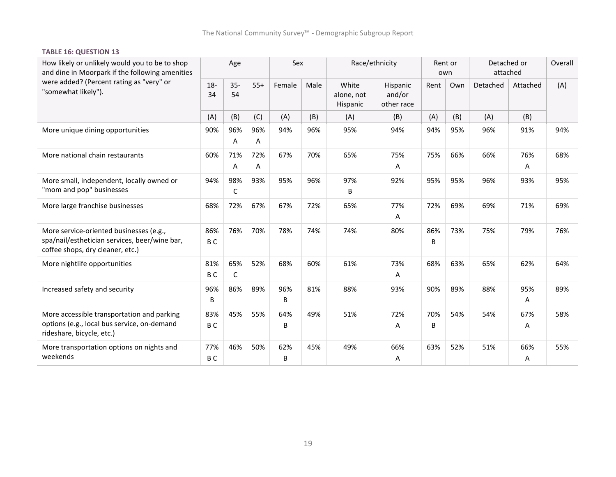#### **TABLE 16: QUESTION 13**

| How likely or unlikely would you to be to shop<br>and dine in Moorpark if the following amenities                            |                       | Age          |          |          | Sex  | Race/ethnicity                  |                                  | Rent or<br>own |     | Detached or<br>attached |          | Overall |
|------------------------------------------------------------------------------------------------------------------------------|-----------------------|--------------|----------|----------|------|---------------------------------|----------------------------------|----------------|-----|-------------------------|----------|---------|
| were added? (Percent rating as "very" or<br>"somewhat likely").                                                              | $18 -$<br>34          | $35 -$<br>54 | $55+$    | Female   | Male | White<br>alone, not<br>Hispanic | Hispanic<br>and/or<br>other race | Rent           | Own | Detached                | Attached | (A)     |
|                                                                                                                              | (A)                   | (B)          | (C)      | (A)      | (B)  | (A)                             | (B)                              | (A)            | (B) | (A)                     | (B)      |         |
| More unique dining opportunities                                                                                             | 90%                   | 96%<br>Α     | 96%<br>Α | 94%      | 96%  | 95%                             | 94%                              | 94%            | 95% | 96%                     | 91%      | 94%     |
| More national chain restaurants                                                                                              | 60%                   | 71%<br>Α     | 72%<br>Α | 67%      | 70%  | 65%                             | 75%<br>Α                         | 75%            | 66% | 66%                     | 76%<br>Α | 68%     |
| More small, independent, locally owned or<br>"mom and pop" businesses                                                        | 94%                   | 98%<br>C     | 93%      | 95%      | 96%  | 97%<br>В                        | 92%                              | 95%            | 95% | 96%                     | 93%      | 95%     |
| More large franchise businesses                                                                                              | 68%                   | 72%          | 67%      | 67%      | 72%  | 65%                             | 77%<br>Α                         | 72%            | 69% | 69%                     | 71%      | 69%     |
| More service-oriented businesses (e.g.,<br>spa/nail/esthetician services, beer/wine bar,<br>coffee shops, dry cleaner, etc.) | 86%<br>BC             | 76%          | 70%      | 78%      | 74%  | 74%                             | 80%                              | 86%<br>B       | 73% | 75%                     | 79%      | 76%     |
| More nightlife opportunities                                                                                                 | 81%<br>B C            | 65%<br>C     | 52%      | 68%      | 60%  | 61%                             | 73%<br>Α                         | 68%            | 63% | 65%                     | 62%      | 64%     |
| Increased safety and security                                                                                                | 96%<br>B              | 86%          | 89%      | 96%<br>B | 81%  | 88%                             | 93%                              | 90%            | 89% | 88%                     | 95%<br>Α | 89%     |
| More accessible transportation and parking<br>options (e.g., local bus service, on-demand<br>rideshare, bicycle, etc.)       | 83%<br>B <sub>C</sub> | 45%          | 55%      | 64%<br>В | 49%  | 51%                             | 72%<br>А                         | 70%<br>B       | 54% | 54%                     | 67%<br>Α | 58%     |
| More transportation options on nights and<br>weekends                                                                        | 77%<br>B <sub>C</sub> | 46%          | 50%      | 62%<br>В | 45%  | 49%                             | 66%<br>Α                         | 63%            | 52% | 51%                     | 66%<br>Α | 55%     |